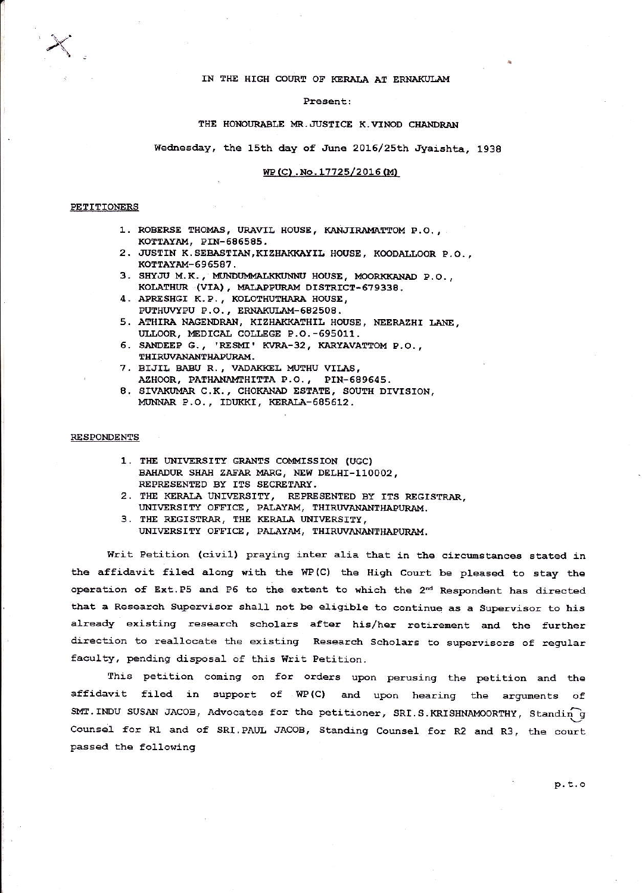### IN THE HIGH COURT OF KERALA AT ERNAKULAM

#### Present:

### THE HONOURABLE MR. JUSTICE K. VINOD CHANDRAN

Wednesday, the 15th day of June 2016/25th Jyaishta, 1938

### WP(C). No. 17725/2016(M)

### **PETITIONERS**

- 1. ROBERSE THOMAS, URAVIL HOUSE, KANJIRAMATTOM P.O., KOTTAYAM, PIN-686585.
- 2. JUSTIN K.SEBASTIAN, KIZHAKKAYIL HOUSE, KOODALLOOR P.O., КОТТАҮАМ-696587.
- 3. SHYJU M.K., MUNDUMMALKKUNNU HOUSE, MOORKKANAD P.O., KOLATHUR (VIA), MALAPPURAM DISTRICT-679338.
- 4. APRESHGI K.P., KOLOTHUTHARA HOUSE, PUTHUVYPU P.O., ERNAKULAM-682508.
- 5. ATHIRA NAGENDRAN, KIZHAKKATHIL HOUSE, NEERAZHI LANE, ULLOOR, MEDICAL COLLEGE P.O. -695011.
- 6. SANDEEP G., 'RESMI' KVRA-32, KARYAVATTOM P.O., THIRUVANANTHAPURAM.
- 7. BIJIL BABU R., VADAKKEL MUTHU VILAS, AZHOOR, PATHANAMTHITTA P.O., PIN-689645.
- 8. SIVAKUMAR C.K., CHOKANAD ESTATE, SOUTH DIVISION, MUNNAR P.O., IDUKKI, KERALA-685612.

### **RESPONDENTS**

- 1. THE UNIVERSITY GRANTS COMMISSION (UGC) BAHADUR SHAH ZAFAR MARG, NEW DELHI-110002, REPRESENTED BY ITS SECRETARY.
- 2. THE KERALA UNIVERSITY, REPRESENTED BY ITS REGISTRAR, UNIVERSITY OFFICE, PALAYAM, THIRUVANANTHAPURAM.
- 3. THE REGISTRAR, THE KERALA UNIVERSITY, UNIVERSITY OFFICE, PALAYAM, THIRUVANANTHAPURAM.

Writ Petition (civil) praying inter alia that in the circumstances stated in the affidavit filed along with the WP(C) the High Court be pleased to stay the operation of Ext.P5 and P6 to the extent to which the 2<sup>nd</sup> Respondent has directed that a Research Supervisor shall not be eligible to continue as a Supervisor to his already existing research scholars after his/her retirement and the further direction to reallocate the existing Research Scholars to supervisors of regular faculty, pending disposal of this Writ Petition.

This petition coming on for orders upon perusing the petition and the affidavit filed in support of WP(C) and upon hearing the arguments of SMT. INDU SUSAN JACOB, Advocates for the petitioner, SRI.S.KRISHNAMOORTHY, Standing Counsel for R1 and of SRI. PAUL JACOB, Standing Counsel for R2 and R3, the court passed the following

 $p.t.$ o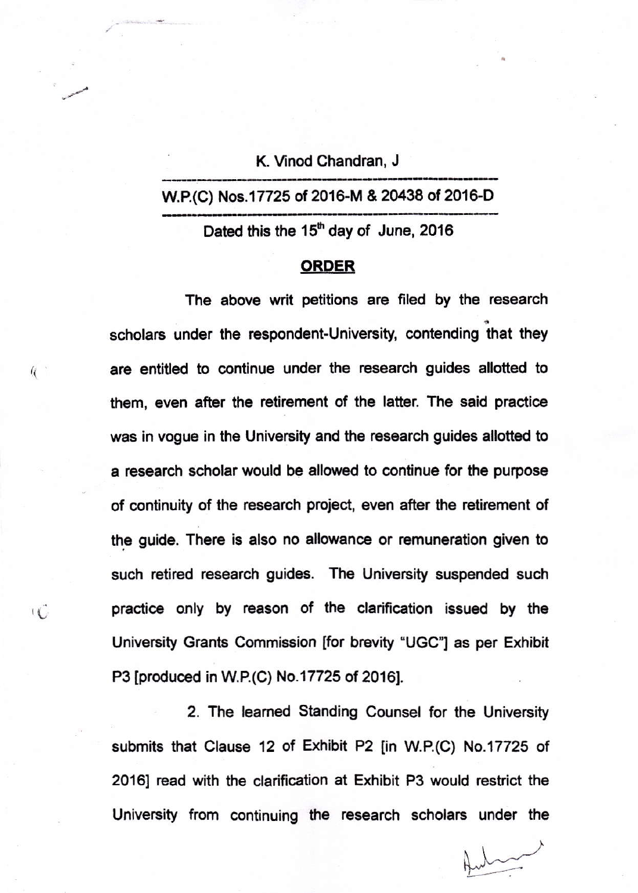K. Vinod Chandran, J.

# W.P.(C) Nos.17725 of 2016-M & 20438 of 2016-D

Dated this the  $15<sup>th</sup>$  day of June, 2016

# ORDER

The above writ petitions are filed by the research scholars under the respondent-University, contending that they are entitled to continue under the research guides allotted to them, even after the retirement of the latter. The said practice was in vogue in the University and the research guides allotted to a research scholar would be allowed to continue for the purpose of continuity of the research project, even after the retirement of the guide. There is also no allowance or remuneration given to such retired research guides. The University suspended such practice only by reason of the clarification issued by the University Grants Commission [for brevity "UGC"] as per Exhibit P3 [produced in W.P.(C) No.17725 of 2016].

 $\overline{1}$ 

 $\mathcal{R}$ 

2. The leamed Standing Counsel for the University submits that Clause 12 of Exhibit P2 [in W.P.(C) No.17725 of 2016] read with the clarification at Exhibit P3 would restrict the University from continuing the research scholars under the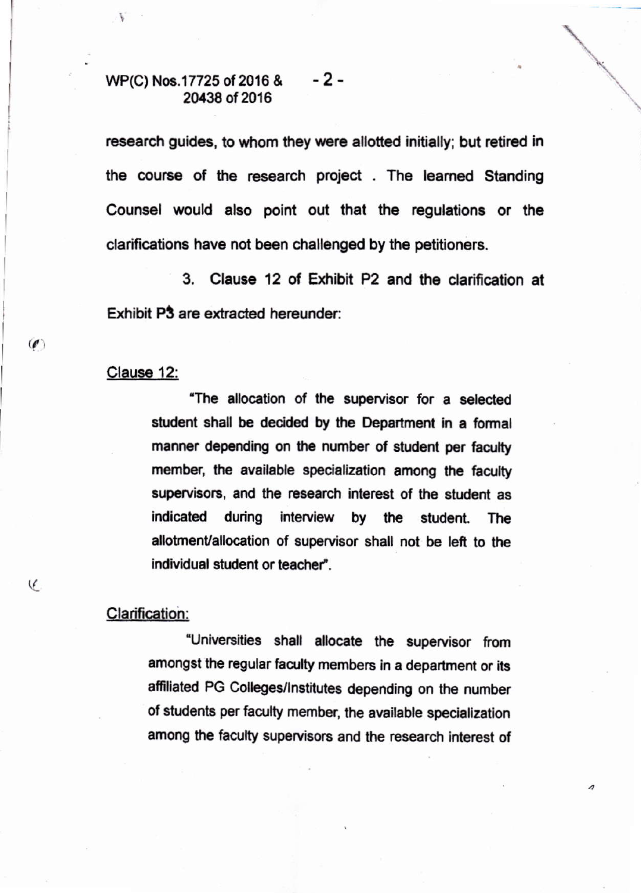## WP(C) Nos.17725 of 2016 & - 2 -20438 of 2016

research guides, to whom they were allotted initially; but retired in the course of the research project. The learned Standing Counsel would also point out that the regulations or the clarifications have not been challenged by the petitioners.

 $3<sub>1</sub>$ Clause 12 of Exhibit P2 and the clarification at Exhibit P3 are extracted hereunder:

# Clause 12:

 $\mathcal{O}$ 

C

"The allocation of the supervisor for a selected student shall be decided by the Department in a formal manner depending on the number of student per faculty member, the available specialization among the faculty supervisors, and the research interest of the student as indicated during interview by the student. The allotment/allocation of supervisor shall not be left to the individual student or teacher".

# **Clarification:**

"Universities shall allocate the supervisor from amongst the regular faculty members in a department or its affiliated PG Colleges/Institutes depending on the number of students per faculty member, the available specialization among the faculty supervisors and the research interest of

s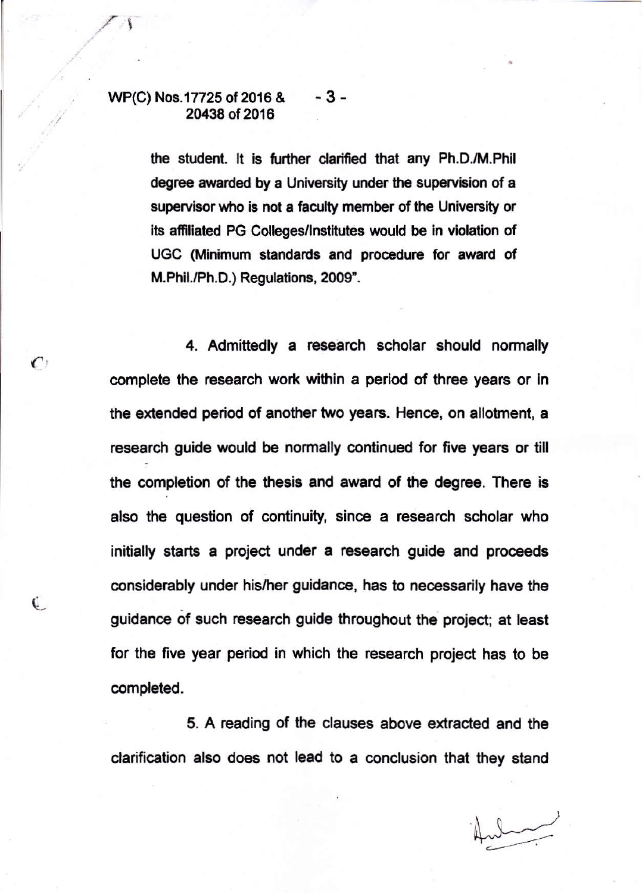### WP(C) Nos.17725 of 2016 & - 3 -20438 of 2016

 $\mathcal{C}$ 

Ú.

the student. It is further clarified that any Ph.D./M.Phil degree awarded by a University under the supervision of a supervisor who is not a faculty member of the University or its affiliated PG Colleges/Institutes would be in violation of UGC (Minimum standards and procedure for award of M.Phil./Ph.D.) Regulations, 2009".

4. Admittedly a research scholar should normally complete the research work within a period of three years or in the extended period of another two years. Hence, on allotment, a research guide would be normally continued for five years or till the completion of the thesis and award of the degree. There is also the question of continuity, since a research scholar who initially starts a project under a research guide and proceeds considerably under his/her guidance, has to necessarily have the guidance of such research guide throughout the project; at least for the five year period in which the research project has to be completed.

5. A reading of the clauses above extracted and the clarification also does not lead to a conclusion that they stand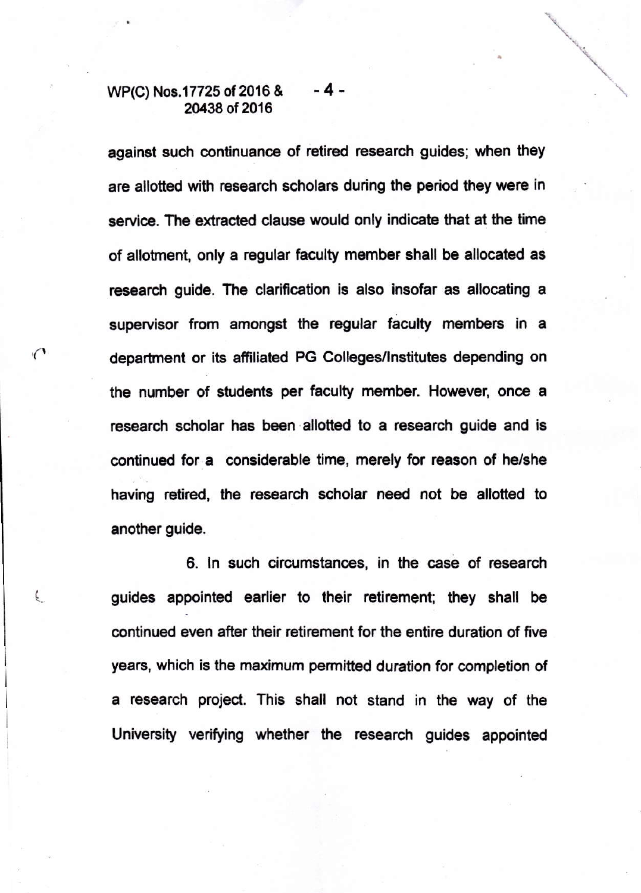### WP(C) Nos.17725 of 2016 & 20438 of 2016 -4-

against such continuance of retired research guides; when they are allotted with research scholars during the period they were in service. The extracted clause would only indicate that at the time of allotnent, only a regular faculty member shall be allocated as research quide. The clarification is also insofar as allocating a supervisor from amongst the regular faculty members in a department or its afiiliated PG Colleges/lnstitutes depending on the number of students per faculty member. However, once a research scholar has been allotted to a research guide and is continued for a considerable time, merely for reason of he/she having retired, the research scholar need not be allotted to another guide.

6. ln such circumstances, in the case of research ( guides appointed earlier to their retirement; they shall be continued even after their retirement for the entire duration of five years, which is the maximum permitted duration for completion of a research project. This shall not stand in the way of the University verifying whether the research guides appointed

 $\bigcap$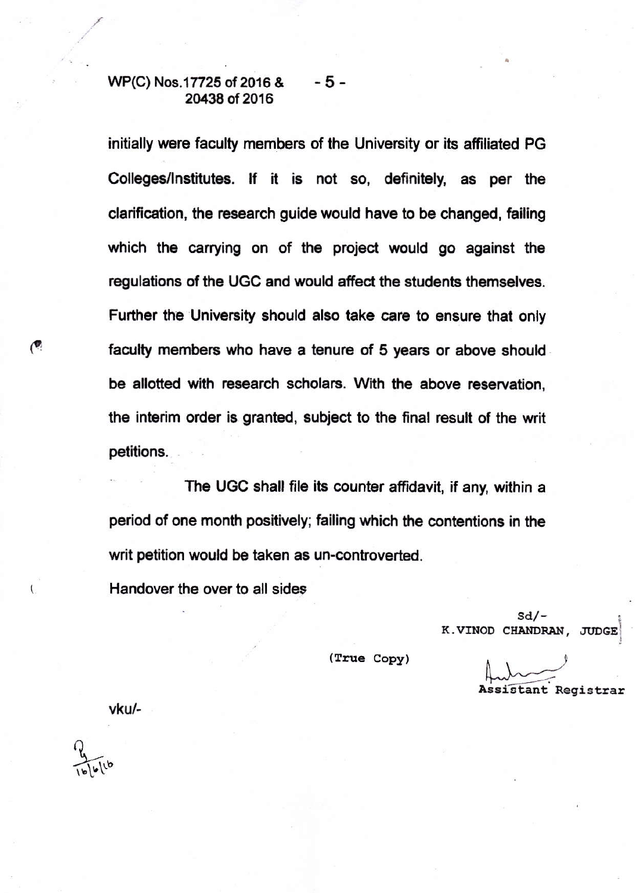#### WP(C) Nos.17725 of 2016 & -5-20438 of 2016

initially were faculty members of the University or its affiliated PG Colleges/Institutes. If it is not so, definitely, as per the clarification, the research guide would have to be changed, failing which the carrying on of the project would go against the regulations of the UGC and would affect the students themselves. Further the University should also take care to ensure that only faculty members who have a tenure of 5 years or above should be allotted with research scholars. With the above reservation. the interim order is granted, subject to the final result of the writ petitions.

The UGC shall file its counter affidavit, if any, within a period of one month positively; failing which the contentions in the writ petition would be taken as un-controverted.

Handover the over to all sides

 $Sd/-$ K.VINOD CHANDRAN, JUDGE

(True Copy)

Assistant Registrar

vku/-

۱

 $\left($